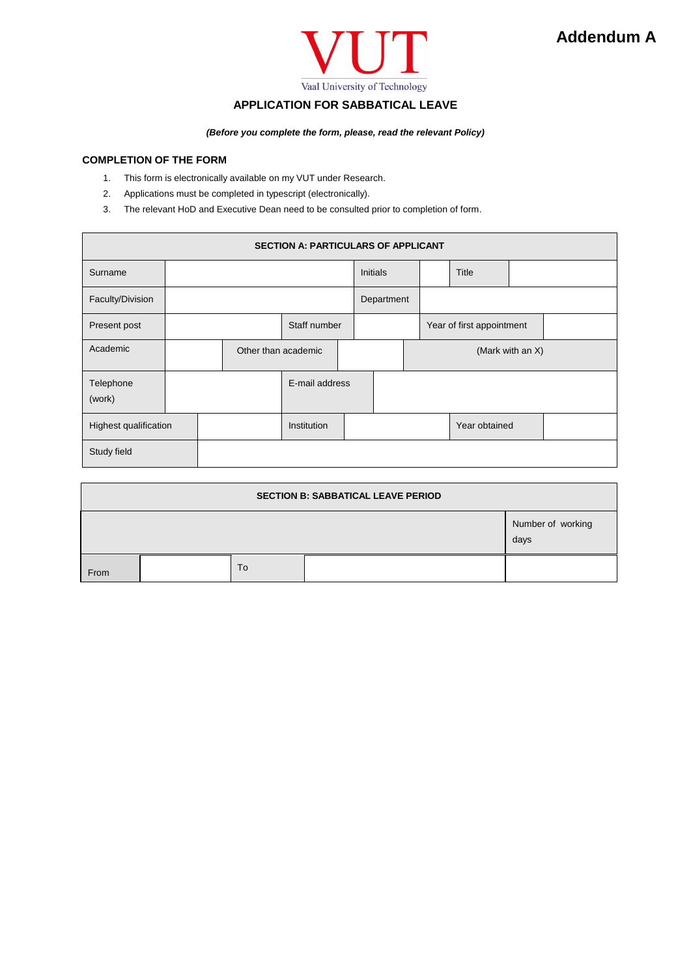

# **APPLICATION FOR SABBATICAL LEAVE**

*(Before you complete the form, please, read the relevant Policy)*

## **COMPLETION OF THE FORM**

- 1. This form is electronically available on my VUT under Research.
- 2. Applications must be completed in typescript (electronically).
- 3. The relevant HoD and Executive Dean need to be consulted prior to completion of form.

| <b>SECTION A: PARTICULARS OF APPLICANT</b> |                     |  |              |                |  |                  |  |                           |       |  |  |
|--------------------------------------------|---------------------|--|--------------|----------------|--|------------------|--|---------------------------|-------|--|--|
| Surname                                    |                     |  |              |                |  | <b>Initials</b>  |  |                           | Title |  |  |
| Faculty/Division                           |                     |  |              |                |  | Department       |  |                           |       |  |  |
| Present post                               |                     |  | Staff number |                |  |                  |  | Year of first appointment |       |  |  |
| Academic                                   | Other than academic |  |              |                |  | (Mark with an X) |  |                           |       |  |  |
| Telephone<br>(work)                        |                     |  |              | E-mail address |  |                  |  |                           |       |  |  |
| Highest qualification                      |                     |  |              | Institution    |  |                  |  | Year obtained             |       |  |  |
| Study field                                |                     |  |              |                |  |                  |  |                           |       |  |  |

| <b>SECTION B: SABBATICAL LEAVE PERIOD</b> |  |    |  |                           |  |  |  |  |
|-------------------------------------------|--|----|--|---------------------------|--|--|--|--|
|                                           |  |    |  | Number of working<br>days |  |  |  |  |
| From                                      |  | To |  |                           |  |  |  |  |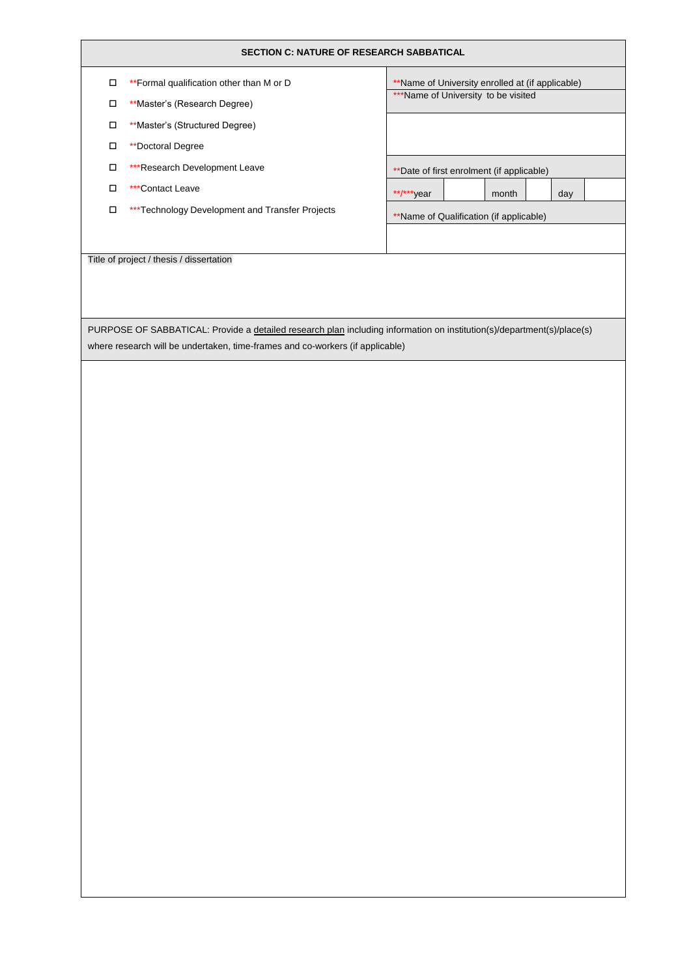#### **SECTION C: NATURE OF RESEARCH SABBATICAL**

- \*\*Formal qualification other than M or D
- \*\*Master's (Research Degree)
- \*\*Master's (Structured Degree)
- $\Box$  \*\*Doctoral Degree
- \*\*\*Research Development Leave
- □ \*\*\*Contact Leave

Title of project / thesis / dissertation

 $\square$  \*\*\*Technology Development and Transfer Projects

| **Name of University enrolled at (if applicable) |  |       |  |     |  |  |  |  |
|--------------------------------------------------|--|-------|--|-----|--|--|--|--|
| ***Name of University to be visited              |  |       |  |     |  |  |  |  |
|                                                  |  |       |  |     |  |  |  |  |
|                                                  |  |       |  |     |  |  |  |  |
|                                                  |  |       |  |     |  |  |  |  |
|                                                  |  |       |  |     |  |  |  |  |
| ** Date of first enrolment (if applicable)       |  |       |  |     |  |  |  |  |
| **/***year                                       |  | month |  | day |  |  |  |  |
| **Name of Qualification (if applicable)          |  |       |  |     |  |  |  |  |
|                                                  |  |       |  |     |  |  |  |  |
|                                                  |  |       |  |     |  |  |  |  |
|                                                  |  |       |  |     |  |  |  |  |
|                                                  |  |       |  |     |  |  |  |  |
|                                                  |  |       |  |     |  |  |  |  |
|                                                  |  |       |  |     |  |  |  |  |

PURPOSE OF SABBATICAL: Provide a *detailed research plan* including information on institution(s)/department(s)/place(s) where research will be undertaken, time-frames and co-workers (if applicable)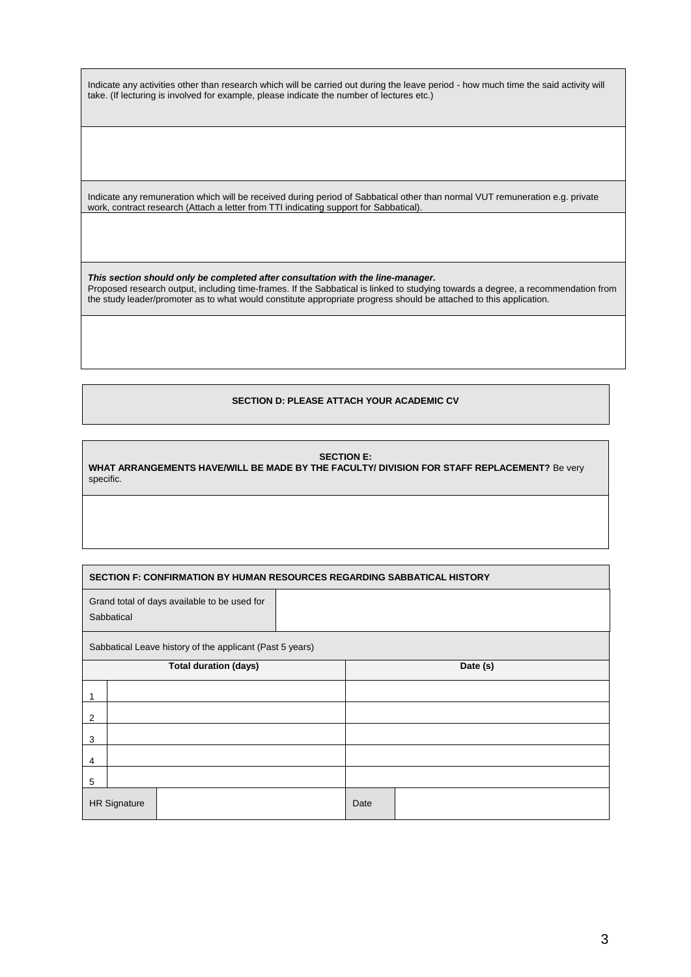Indicate any activities other than research which will be carried out during the leave period - how much time the said activity will take. (If lecturing is involved for example, please indicate the number of lectures etc.)

Indicate any remuneration which will be received during period of Sabbatical other than normal VUT remuneration e.g. private work, contract research (Attach a letter from TTI indicating support for Sabbatical).

*This section should only be completed after consultation with the line-manager.* Proposed research output, including time-frames. If the Sabbatical is linked to studying towards a degree, a recommendation from the study leader/promoter as to what would constitute appropriate progress should be attached to this application.

## **SECTION D: PLEASE ATTACH YOUR ACADEMIC CV**

#### **SECTION E:**

**WHAT ARRANGEMENTS HAVE/WILL BE MADE BY THE FACULTY/ DIVISION FOR STAFF REPLACEMENT?** Be very specific.

| <b>SECTION F: CONFIRMATION BY HUMAN RESOURCES REGARDING SABBATICAL HISTORY</b> |                                                            |  |      |          |  |  |  |  |  |
|--------------------------------------------------------------------------------|------------------------------------------------------------|--|------|----------|--|--|--|--|--|
|                                                                                | Grand total of days available to be used for<br>Sabbatical |  |      |          |  |  |  |  |  |
|                                                                                | Sabbatical Leave history of the applicant (Past 5 years)   |  |      |          |  |  |  |  |  |
| <b>Total duration (days)</b>                                                   |                                                            |  |      | Date (s) |  |  |  |  |  |
| 1                                                                              |                                                            |  |      |          |  |  |  |  |  |
| 2                                                                              |                                                            |  |      |          |  |  |  |  |  |
| 3                                                                              |                                                            |  |      |          |  |  |  |  |  |
| 4                                                                              |                                                            |  |      |          |  |  |  |  |  |
| 5                                                                              |                                                            |  |      |          |  |  |  |  |  |
| <b>HR Signature</b>                                                            |                                                            |  | Date |          |  |  |  |  |  |